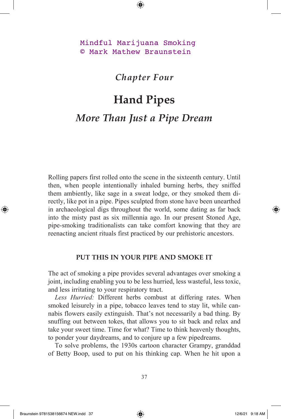Mindful Marijuana Smoking © Mark Mathew Braunstein

## *Chapter Four*

## **Hand Pipes** *More Than Just a Pipe Dream*

Rolling papers first rolled onto the scene in the sixteenth century. Until then, when people intentionally inhaled burning herbs, they sniffed them ambiently, like sage in a sweat lodge, or they smoked them directly, like pot in a pipe. Pipes sculpted from stone have been unearthed in archaeological digs throughout the world, some dating as far back into the misty past as six millennia ago. In our present Stoned Age, pipe-smoking traditionalists can take comfort knowing that they are reenacting ancient rituals first practiced by our prehistoric ancestors.

## **PUT THIS IN YOUR PIPE AND SMOKE IT**

The act of smoking a pipe provides several advantages over smoking a joint, including enabling you to be less hurried, less wasteful, less toxic, and less irritating to your respiratory tract.

*Less Hurried:* Different herbs combust at differing rates. When smoked leisurely in a pipe, tobacco leaves tend to stay lit, while cannabis flowers easily extinguish. That's not necessarily a bad thing. By snuffing out between tokes, that allows you to sit back and relax and take your sweet time. Time for what? Time to think heavenly thoughts, to ponder your daydreams, and to conjure up a few pipedreams.

To solve problems, the 1930s cartoon character Grampy, granddad of Betty Boop, used to put on his thinking cap. When he hit upon a